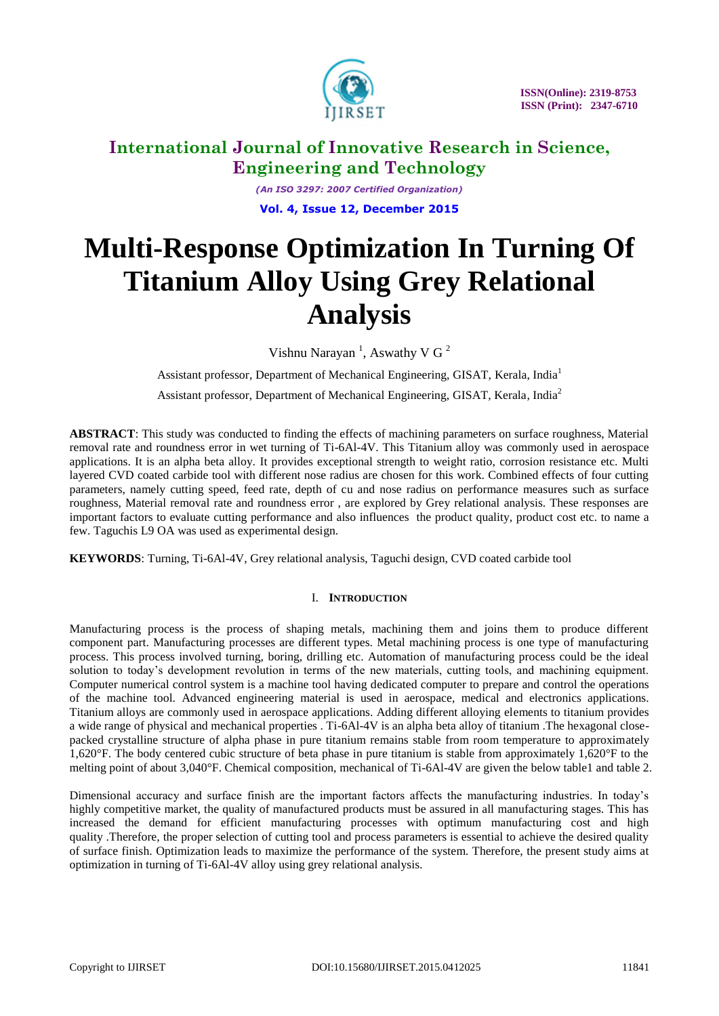

*(An ISO 3297: 2007 Certified Organization)* **Vol. 4, Issue 12, December 2015**

# **Multi-Response Optimization In Turning Of Titanium Alloy Using Grey Relational Analysis**

Vishnu Narayan<sup>1</sup>, Aswathy V G<sup>2</sup>

Assistant professor, Department of Mechanical Engineering, GISAT, Kerala, India<sup>1</sup>

Assistant professor, Department of Mechanical Engineering, GISAT, Kerala, India<sup>2</sup>

**ABSTRACT**: This study was conducted to finding the effects of machining parameters on surface roughness, Material removal rate and roundness error in wet turning of Ti-6Al-4V. This Titanium alloy was commonly used in aerospace applications. It is an alpha beta alloy. It provides exceptional strength to weight ratio, corrosion resistance etc. Multi layered CVD coated carbide tool with different nose radius are chosen for this work. Combined effects of four cutting parameters, namely cutting speed, feed rate, depth of cu and nose radius on performance measures such as surface roughness, Material removal rate and roundness error , are explored by Grey relational analysis. These responses are important factors to evaluate cutting performance and also influences the product quality, product cost etc. to name a few. Taguchis L9 OA was used as experimental design.

**KEYWORDS**: Turning, Ti-6Al-4V, Grey relational analysis, Taguchi design, CVD coated carbide tool

## I. **INTRODUCTION**

Manufacturing process is the process of shaping metals, machining them and joins them to produce different component part. Manufacturing processes are different types. Metal machining process is one type of manufacturing process. This process involved turning, boring, drilling etc. Automation of manufacturing process could be the ideal solution to today's development revolution in terms of the new materials, cutting tools, and machining equipment. Computer numerical control system is a machine tool having dedicated computer to prepare and control the operations of the machine tool. Advanced engineering material is used in aerospace, medical and electronics applications. Titanium alloys are commonly used in aerospace applications. Adding different alloying elements to titanium provides a wide range of physical and mechanical properties . Ti-6Al-4V is an alpha beta alloy of titanium .The hexagonal closepacked crystalline structure of alpha phase in pure titanium remains stable from room temperature to approximately 1,620°F. The body centered cubic structure of beta phase in pure titanium is stable from approximately 1,620°F to the melting point of about 3,040°F. Chemical composition, mechanical of Ti-6Al-4V are given the below table1 and table 2.

Dimensional accuracy and surface finish are the important factors affects the manufacturing industries. In today"s highly competitive market, the quality of manufactured products must be assured in all manufacturing stages. This has increased the demand for efficient manufacturing processes with optimum manufacturing cost and high quality .Therefore, the proper selection of cutting tool and process parameters is essential to achieve the desired quality of surface finish. Optimization leads to maximize the performance of the system. Therefore, the present study aims at optimization in turning of Ti-6Al-4V alloy using grey relational analysis.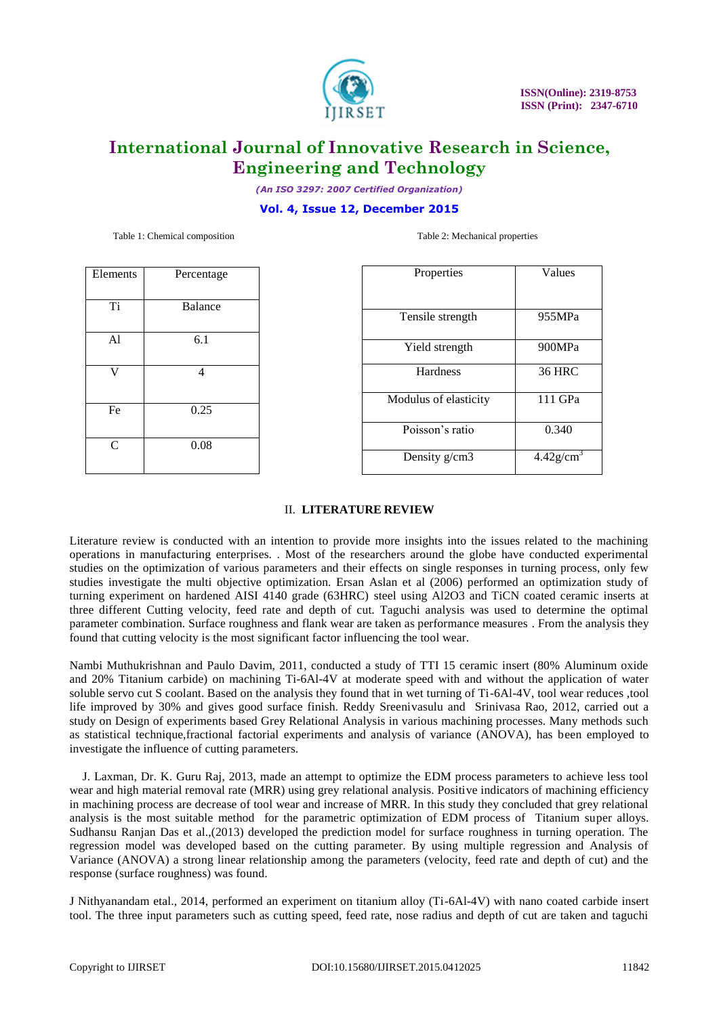

*(An ISO 3297: 2007 Certified Organization)*

#### **Vol. 4, Issue 12, December 2015**

Table 1: Chemical composition Table 2: Mechanical properties

| Elements       | Percentage     |
|----------------|----------------|
| Ti             | <b>Balance</b> |
| A <sub>1</sub> | 6.1            |
| V              | $\overline{4}$ |
| Fe             | 0.25           |
| $\overline{C}$ | 0.08           |

| Values                   |
|--------------------------|
| 955MPa                   |
| 900MPa                   |
| <b>36 HRC</b>            |
| 111 GPa                  |
| 0.340                    |
| $4.42$ g/cm <sup>3</sup> |
|                          |

#### II. **LITERATURE REVIEW**

Literature review is conducted with an intention to provide more insights into the issues related to the machining operations in manufacturing enterprises. . Most of the researchers around the globe have conducted experimental studies on the optimization of various parameters and their effects on single responses in turning process, only few studies investigate the multi objective optimization. Ersan Aslan et al (2006) performed an optimization study of turning experiment on hardened AISI 4140 grade (63HRC) steel using Al2O3 and TiCN coated ceramic inserts at three different Cutting velocity, feed rate and depth of cut. Taguchi analysis was used to determine the optimal parameter combination. Surface roughness and flank wear are taken as performance measures . From the analysis they found that cutting velocity is the most significant factor influencing the tool wear.

Nambi Muthukrishnan and Paulo Davim, 2011, conducted a study of TTI 15 ceramic insert (80% Aluminum oxide and 20% Titanium carbide) on machining Ti-6Al-4V at moderate speed with and without the application of water soluble servo cut S coolant. Based on the analysis they found that in wet turning of Ti-6Al-4V, tool wear reduces ,tool life improved by 30% and gives good surface finish. Reddy Sreenivasulu and Srinivasa Rao, 2012, carried out a study on Design of experiments based Grey Relational Analysis in various machining processes. Many methods such as statistical technique,fractional factorial experiments and analysis of variance (ANOVA), has been employed to investigate the influence of cutting parameters.

J. Laxman, Dr. K. Guru Raj, 2013, made an attempt to optimize the EDM process parameters to achieve less tool wear and high material removal rate (MRR) using grey relational analysis. Positive indicators of machining efficiency in machining process are decrease of tool wear and increase of MRR. In this study they concluded that grey relational analysis is the most suitable method for the parametric optimization of EDM process of Titanium super alloys. Sudhansu Ranjan Das et al.,(2013) developed the prediction model for surface roughness in turning operation. The regression model was developed based on the cutting parameter. By using multiple regression and Analysis of Variance (ANOVA) a strong linear relationship among the parameters (velocity, feed rate and depth of cut) and the response (surface roughness) was found.

J Nithyanandam etal., 2014, performed an experiment on titanium alloy (Ti-6Al-4V) with nano coated carbide insert tool. The three input parameters such as cutting speed, feed rate, nose radius and depth of cut are taken and taguchi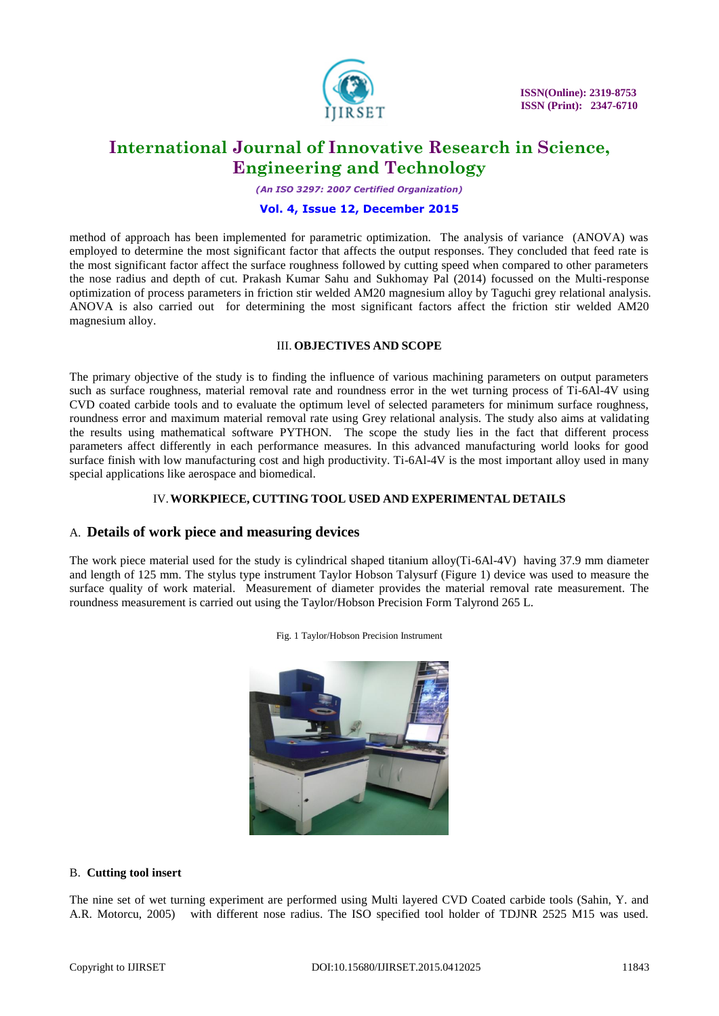

*(An ISO 3297: 2007 Certified Organization)*

#### **Vol. 4, Issue 12, December 2015**

method of approach has been implemented for parametric optimization. The analysis of variance (ANOVA) was employed to determine the most significant factor that affects the output responses. They concluded that feed rate is the most significant factor affect the surface roughness followed by cutting speed when compared to other parameters the nose radius and depth of cut. Prakash Kumar Sahu and Sukhomay Pal (2014) focussed on the Multi-response optimization of process parameters in friction stir welded AM20 magnesium alloy by Taguchi grey relational analysis. ANOVA is also carried out for determining the most significant factors affect the friction stir welded AM20 magnesium alloy.

#### III. **OBJECTIVES AND SCOPE**

The primary objective of the study is to finding the influence of various machining parameters on output parameters such as surface roughness, material removal rate and roundness error in the wet turning process of Ti-6Al-4V using CVD coated carbide tools and to evaluate the optimum level of selected parameters for minimum surface roughness, roundness error and maximum material removal rate using Grey relational analysis. The study also aims at validating the results using mathematical software PYTHON. The scope the study lies in the fact that different process parameters affect differently in each performance measures. In this advanced manufacturing world looks for good surface finish with low manufacturing cost and high productivity. Ti-6Al-4V is the most important alloy used in many special applications like aerospace and biomedical.

#### IV.**WORKPIECE, CUTTING TOOL USED AND EXPERIMENTAL DETAILS**

## A. **Details of work piece and measuring devices**

The work piece material used for the study is cylindrical shaped titanium alloy(Ti-6Al-4V) having 37.9 mm diameter and length of 125 mm. The stylus type instrument Taylor Hobson Talysurf (Figure 1) device was used to measure the surface quality of work material. Measurement of diameter provides the material removal rate measurement. The roundness measurement is carried out using the Taylor/Hobson Precision Form Talyrond 265 L.



Fig. 1 Taylor/Hobson Precision Instrument

## B. **Cutting tool insert**

The nine set of wet turning experiment are performed using Multi layered CVD Coated carbide tools (Sahin, Y. and A.R. Motorcu, 2005) with different nose radius. The ISO specified tool holder of TDJNR 2525 M15 was used.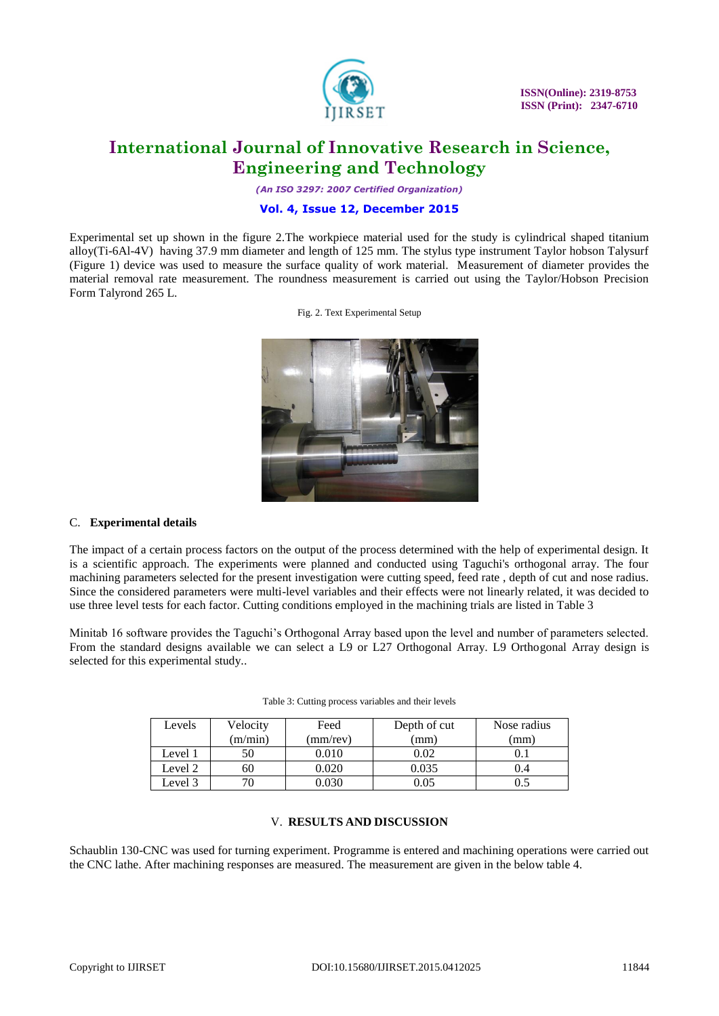

*(An ISO 3297: 2007 Certified Organization)*

## **Vol. 4, Issue 12, December 2015**

Experimental set up shown in the figure 2.The workpiece material used for the study is cylindrical shaped titanium alloy(Ti-6Al-4V) having 37.9 mm diameter and length of 125 mm. The stylus type instrument Taylor hobson Talysurf (Figure 1) device was used to measure the surface quality of work material. Measurement of diameter provides the material removal rate measurement. The roundness measurement is carried out using the Taylor/Hobson Precision Form Talyrond 265 L.

Fig. 2. Text Experimental Setup



## C. **Experimental details**

The impact of a certain process factors on the output of the process determined with the help of experimental design. It is a scientific approach. The experiments were planned and conducted using Taguchi's orthogonal array. The four machining parameters selected for the present investigation were cutting speed, feed rate , depth of cut and nose radius. Since the considered parameters were multi-level variables and their effects were not linearly related, it was decided to use three level tests for each factor. Cutting conditions employed in the machining trials are listed in Table 3

Minitab 16 software provides the Taguchi"s Orthogonal Array based upon the level and number of parameters selected. From the standard designs available we can select a L9 or L27 Orthogonal Array. L9 Orthogonal Array design is selected for this experimental study..

| Levels  | Velocity | Feed     | Depth of cut | Nose radius |
|---------|----------|----------|--------------|-------------|
|         | (m/min)  | (mm/rev) | (mm)         | mm)         |
| Level 1 |          | 0.010    | 0.02         |             |
| Level 2 | 60       | 0.020    | 0.035        | 1.4         |
| Level 3 |          | 0.030    | 0.05         |             |

| Table 3: Cutting process variables and their levels |  |
|-----------------------------------------------------|--|
|-----------------------------------------------------|--|

#### V. **RESULTS AND DISCUSSION**

Schaublin 130-CNC was used for turning experiment. Programme is entered and machining operations were carried out the CNC lathe. After machining responses are measured. The measurement are given in the below table 4.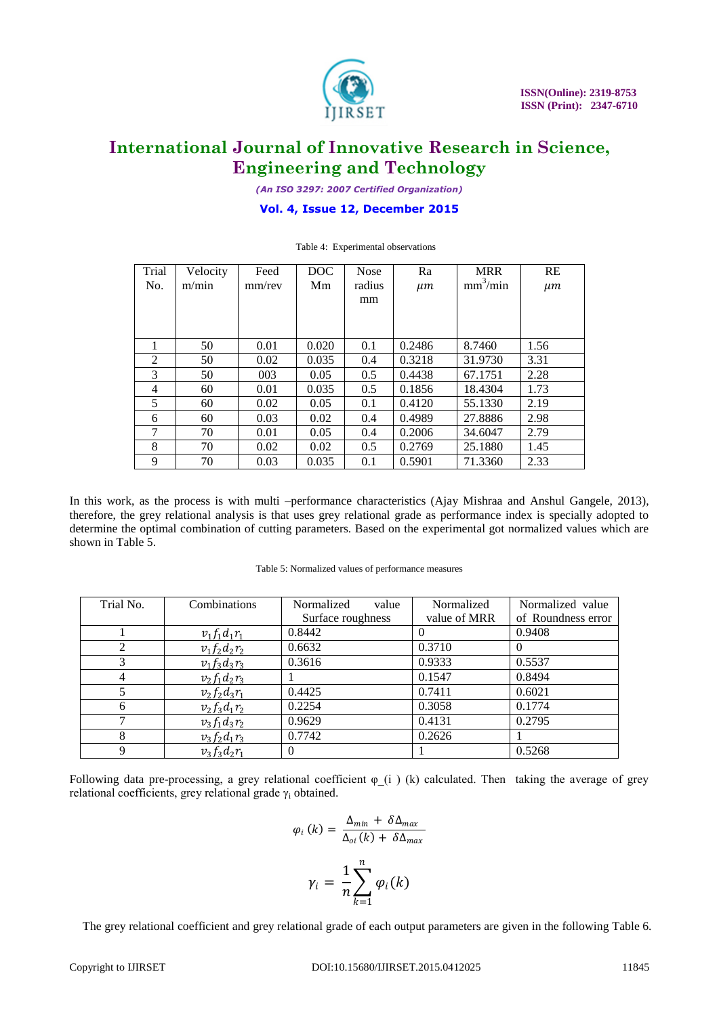

*(An ISO 3297: 2007 Certified Organization)*

## **Vol. 4, Issue 12, December 2015**

| Trial | Velocity | Feed   | DOC   | <b>Nose</b> | Ra      | <b>MRR</b>           | RE      |
|-------|----------|--------|-------|-------------|---------|----------------------|---------|
| No.   | m/min    | mm/rev | Mm    | radius      | $\mu$ m | mm <sup>3</sup> /min | $\mu$ m |
|       |          |        |       | mm          |         |                      |         |
|       |          |        |       |             |         |                      |         |
|       |          |        |       |             |         |                      |         |
|       | 50       | 0.01   | 0.020 | 0.1         | 0.2486  | 8.7460               | 1.56    |
| 2     | 50       | 0.02   | 0.035 | 0.4         | 0.3218  | 31.9730              | 3.31    |
| 3     | 50       | 003    | 0.05  | 0.5         | 0.4438  | 67.1751              | 2.28    |
| 4     | 60       | 0.01   | 0.035 | 0.5         | 0.1856  | 18.4304              | 1.73    |
| 5     | 60       | 0.02   | 0.05  | 0.1         | 0.4120  | 55.1330              | 2.19    |
| 6     | 60       | 0.03   | 0.02  | 0.4         | 0.4989  | 27.8886              | 2.98    |
| 7     | 70       | 0.01   | 0.05  | 0.4         | 0.2006  | 34.6047              | 2.79    |
| 8     | 70       | 0.02   | 0.02  | 0.5         | 0.2769  | 25.1880              | 1.45    |
| 9     | 70       | 0.03   | 0.035 | 0.1         | 0.5901  | 71.3360              | 2.33    |

Table 4: Experimental observations

In this work, as the process is with multi –performance characteristics (Ajay Mishraa and Anshul Gangele, 2013), therefore, the grey relational analysis is that uses grey relational grade as performance index is specially adopted to determine the optimal combination of cutting parameters. Based on the experimental got normalized values which are shown in Table 5.

| Table 5: Normalized values of performance measures |  |
|----------------------------------------------------|--|
|----------------------------------------------------|--|

| Trial No. | Combinations      | Normalized<br>value | Normalized   | Normalized value   |
|-----------|-------------------|---------------------|--------------|--------------------|
|           |                   | Surface roughness   | value of MRR | of Roundness error |
|           | $v_1 f_1 d_1 r_1$ | 0.8442              |              | 0.9408             |
|           | $v_1 f_2 d_2 r_2$ | 0.6632              | 0.3710       | 0                  |
| 3         | $v_1 f_3 d_3 r_3$ | 0.3616              | 0.9333       | 0.5537             |
| 4         | $v_2 f_1 d_2 r_3$ |                     | 0.1547       | 0.8494             |
| 5         | $v_2 f_2 d_3 r_1$ | 0.4425              | 0.7411       | 0.6021             |
| 6         | $v_2 f_3 d_1 r_2$ | 0.2254              | 0.3058       | 0.1774             |
|           | $v_3 f_1 d_3 r_2$ | 0.9629              | 0.4131       | 0.2795             |
| 8         | $v_3 f_2 d_1 r_3$ | 0.7742              | 0.2626       |                    |
| 9         | $v_3 f_3 d_2 r_1$ |                     |              | 0.5268             |

Following data pre-processing, a grey relational coefficient  $\varphi$  (i) (k) calculated. Then taking the average of grey relational coefficients, grey relational grade γ<sup>i</sup> obtained.

$$
\varphi_i(k) = \frac{\Delta_{min} + \delta \Delta_{max}}{\Delta_{oi}(k) + \delta \Delta_{max}}
$$

$$
\gamma_i = \frac{1}{n} \sum_{k=1}^n \varphi_i(k)
$$

The grey relational coefficient and grey relational grade of each output parameters are given in the following Table 6.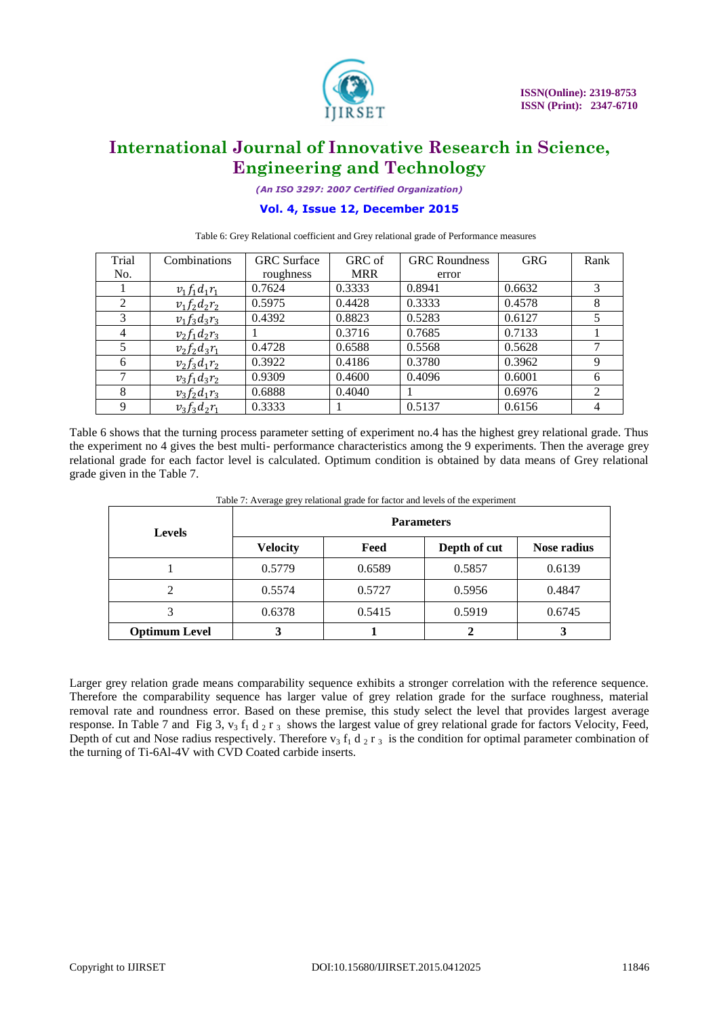

*(An ISO 3297: 2007 Certified Organization)*

## **Vol. 4, Issue 12, December 2015**

Table 6: Grey Relational coefficient and Grey relational grade of Performance measures

| Trial | Combinations      | <b>GRC</b> Surface | GRC of     | <b>GRC</b> Roundness | <b>GRG</b> | Rank           |
|-------|-------------------|--------------------|------------|----------------------|------------|----------------|
| No.   |                   | roughness          | <b>MRR</b> | error                |            |                |
|       | $v_1 f_1 d_1 r_1$ | 0.7624             | 0.3333     | 0.8941               | 0.6632     | 3              |
| 2     | $v_1 f_2 d_2 r_2$ | 0.5975             | 0.4428     | 0.3333               | 0.4578     | 8              |
| 3     | $v_1 f_3 d_3 r_3$ | 0.4392             | 0.8823     | 0.5283               | 0.6127     |                |
| 4     | $v_2 f_1 d_2 r_3$ |                    | 0.3716     | 0.7685               | 0.7133     |                |
|       | $v_2 f_2 d_3 r_1$ | 0.4728             | 0.6588     | 0.5568               | 0.5628     |                |
| 6     | $v_2 f_3 d_1 r_2$ | 0.3922             | 0.4186     | 0.3780               | 0.3962     | 9              |
|       | $v_3 f_1 d_3 r_2$ | 0.9309             | 0.4600     | 0.4096               | 0.6001     | 6              |
| 8     | $v_3 f_2 d_1 r_3$ | 0.6888             | 0.4040     |                      | 0.6976     | 2              |
| 9     | $v_3 f_3 d_2 r_1$ | 0.3333             |            | 0.5137               | 0.6156     | $\overline{4}$ |

Table 6 shows that the turning process parameter setting of experiment no.4 has the highest grey relational grade. Thus the experiment no 4 gives the best multi- performance characteristics among the 9 experiments. Then the average grey relational grade for each factor level is calculated. Optimum condition is obtained by data means of Grey relational grade given in the Table 7.

| <b>Levels</b>        | Table 7. Average grey relational grade for factor and levels of the experiment<br><b>Parameters</b> |        |              |                    |  |  |
|----------------------|-----------------------------------------------------------------------------------------------------|--------|--------------|--------------------|--|--|
|                      | <b>Velocity</b>                                                                                     | Feed   | Depth of cut | <b>Nose radius</b> |  |  |
|                      | 0.5779                                                                                              | 0.6589 | 0.5857       | 0.6139             |  |  |
|                      | 0.5574                                                                                              | 0.5727 | 0.5956       | 0.4847             |  |  |
|                      | 0.6378                                                                                              | 0.5415 | 0.5919       | 0.6745             |  |  |
| <b>Optimum Level</b> |                                                                                                     |        |              |                    |  |  |

Table 7: Average grey relational grade for factor and levels of the experiment

Larger grey relation grade means comparability sequence exhibits a stronger correlation with the reference sequence. Therefore the comparability sequence has larger value of grey relation grade for the surface roughness, material removal rate and roundness error. Based on these premise, this study select the level that provides largest average response. In Table 7 and Fig 3,  $v_3 f_1 d_2 r_3$  shows the largest value of grey relational grade for factors Velocity, Feed, Depth of cut and Nose radius respectively. Therefore  $v_3 f_1 d_2 r_3$  is the condition for optimal parameter combination of the turning of Ti-6Al-4V with CVD Coated carbide inserts.